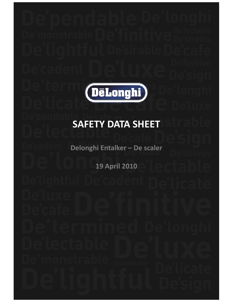

# **SAFETY DATA SHEET**

Delonghi Entalker - De scaler

**19 April 2010**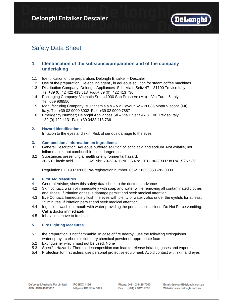

# Safety Data Sheet

# **1. Identification of the substance/preparation and of the company undertaking**

- 1.1 Identification of the preparation; Delonghi Entalker Descaler
- 1.2 Use of the preparation; De-scaling agent , in aqueous solution for steam coffee machines
- 1.3 Distribution Company: Delonghi Appliances Srl Via L Seitz 47 31100 Treviso Italy Tel +39 (0) 42 422 413 513 Fax;+ 39 (0) 422 413 736
- 1.4 Packaging Company: Valmatic Srl 41030 San Prospero (Mo) Via Turati 5 Italy Tel; 059 906550
- 1.5 Manufacturing Company; Multichem s.a.s Via Cavour 62 20086 Motta VIsconti (MI) Italy. Tel; +39 02 9000 8002 Fax; +39 02 9000 7887
- 1.6 Emergency Number; Delonghi Appliances Srl Via L Seitz 47 31100 Treviso Italy +39 (0) 422 4131 Fax; +39 0422 413 736

# **2. Hazard Identification;**

Irritation to the eyes and skin; Risk of serious damage to the eyes

#### **3. Composition / Information on ingredients**

- 3.1 General Description: Aqueous buffered solution of lactic acid and sodium. Not volatile, not inflammable, not combustible, not dangerous
- 3.2 Substances presenting a health or environmental hazard: 30-50% lactic acid CAS Nbr. 79-33-4 EINECS Nbr. 201-196-2 XI R38 R41 S26 S39

Regulation EC 1907 /2006 Pre-registration number. 05-2116355858 -28- 0000

# **4. First Aid Measures**

- 4.1 General Advice; show this safety data sheet to the doctor in advance
- 4.2 Skin contact; wash of immediately with soap and water while removing all contaminated clothes and shoes. If irritation or tissue damage persist and seek medical attention
- 4.3 Eye Contact; Immediately flush the eyes with plenty of water , also under the eyelids for at least 15 minutes. If irritation persist and seek medical attention.
- 4.4 Ingestion; wash out mouth with water providing the person is conscious. Do Not Force vomiting. Call a doctor immediately
- 4.5 Inhalation; move to fresh air

# **5. Fire Fighting Measures:**

- 5.1 the preparation is not flammable. In case of fire nearby , use the following extinguisher; water spray , carbon dioxide , dry chemical powder or appropriate foam.
- 5.2 Extinguisher which must not be used; None
- 5.3 Specific Hazards; Thermal decomposition can lead to release irritating gases and vapours
- 5.4 Protection for first aiders; use personal protective equipment. Avoid contact with skin and eyes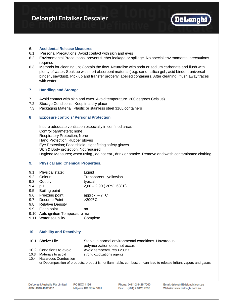

#### 6. **Accidental Release Measures**;

- 6.1 Personal Precautions; Avoid contact with skin and eyes
- 6.2 Environmental Precautions; prevent further leakage or spillage. No special environmental precautions required.
- 6.3 Methods for cleaning up; Contain the flow. Neutralise with soda or sodium carbonate and flush with plenty of water. Soak up with inert absorbent material ( e.g. sand , silica gel , acid binder , universal binder , sawdust). Pick up and transfer properly labelled containers. After cleaning , flush away traces with water

#### **7. Handling and Storage**

- 7. Avoid contact with skin and eyes. Avoid temperature 200 degrees Celsius)
- 7.2 Storage Conditions; Keep in a dry place
- 7.3 Packaging Material; Plastic or stainless steel 316L containers

# **8 Exposure controls/ Personal Protection**

Insure adequate ventilation especially in confined areas Control parameters; none Respiratory Protection; None Hand Protection; Rubber gloves Eye Protection; Face shield , tight fitting safety gloves Skin & Body protection; Not required Hygiene Measures; when using , do not eat , drink or smoke. Remove and wash contaminated clothing.

#### **9. Physical and Chemical Properties**.

9.1 Physical state; Liquid 9.2 Colour; Transparent, yellowish 9.3 Odour; typical 9.4 pH  $2,60 - 2,90 (20^{\circ} \text{C } 68^{\circ} \text{F})$ 9.5 Boiling point 9.6 Freezing point approx. - 7° C 9.7 Decomp Point >200° C 9.8 Relative Density 9.9 Flash point na 9.10 Auto ignition Temperature na 9.11 Water solubility Complete

#### **10 Stability and Reactivity**

| 10.1 Shelve Life         | Stable in normal environmental conditions. Hazardous |
|--------------------------|------------------------------------------------------|
|                          | polymerization does not occur.                       |
| 10.2 Conditions to avoid | Avoid temperatures >200° C                           |

- 10.3 Materials to avoid strong oxidizations agents
- 10.4 Hazardous Combustion or Decomposition of products; product is not flammable, combustion can lead to release irritant vapors and gases

Email: delonghi@delonghi.com.au Website: www.delonghi.com.au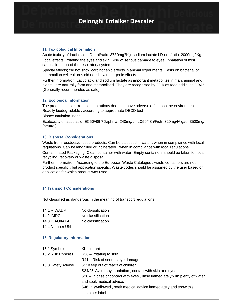#### **11. Toxicological Information**

Acute toxicity of lactic acid LD oral/ratio: 3730mg?Kg; sodium lactate LD oral/ratio: 2000mg?Kg Local effects: irritating the eyes and skin. Risk of serious damage to eyes. Inhalation of mist causes irritation of the respiratory system.

Special effects; did not show carcinogenic effects in animal experiments. Tests on bacterial or mammalian cell cultures did not show mutagenic effects

Further information: Lactic acid and sodium lactate as important metabolites in man, animal and plants , are naturally form and metabolised. They are recognised by FDA as food additives GRAS (Generally recommended as safe)

#### **12. Ecological Information**

The product at its current concentrations does not have adverse effects on the environment. Readily biodegradable , according to appropriate OECD test

Bioaccumulation: none

Ecotoxicity of lactic acid: EC50/48h?Daphnia=240mg/L ; LC50/48h/Fish=320mg/lAlgae=3500mg/l (neutral)

#### **13. Disposal Considerations**

Waste from residues/unused products: Can be disposed in water , when in compliance with local regulations. Can be land filled or incinerated , when in compliance with local regulations. Contaminated Packaging: Clean container with water. Empty containers should be taken for local

recycling, recovery or waste disposal.

Further information; According to the European Waste Catalogue , waste containers are not product specific , but application specific. Waste codes should be assigned by the user based on application for which product was used.

#### **14 Transport Considerations 14 Transport**

Not classified as dangerous in the meaning of transport regulations.

| 14.1 RID/ADR   | No classification |
|----------------|-------------------|
| 14.2 IMDG      | No classification |
| 14.3 ICAO/IATA | No classification |
| 14.4 Number UN |                   |

#### **15. Regulatory Information**

| 15.1 Symbols       | $XI - Irr$                                                                 |
|--------------------|----------------------------------------------------------------------------|
| 15.2 Risk Phrases  | $R38 -$ irritating to skin                                                 |
|                    | R41 – Risk of serious eye damage                                           |
| 15.3 Safety Advise | S2: Keep out of reach of children                                          |
|                    | S24/25: Avoid any inhalation, contact with skin and eyes                   |
|                    | S26 – In case of contact with eyes, rinse immediately with plenty of water |
|                    | and seek medical advice.                                                   |
|                    | S46: If swallowed, seek medical advice immediately and show this           |
|                    | container label                                                            |